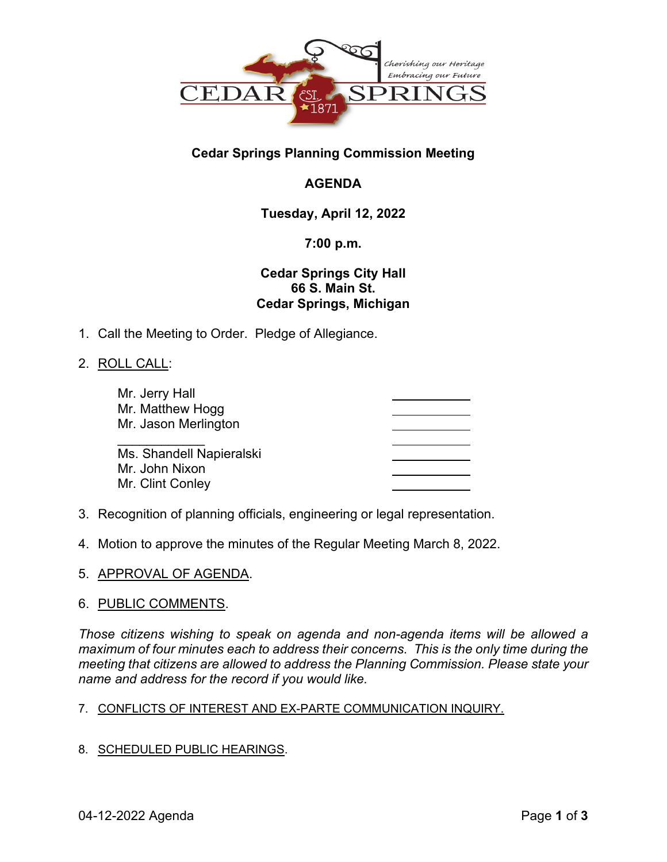

## **Cedar Springs Planning Commission Meeting**

# **AGENDA**

## **Tuesday, April 12, 2022**

## **7:00 p.m.**

## **Cedar Springs City Hall 66 S. Main St. Cedar Springs, Michigan**

1. Call the Meeting to Order. Pledge of Allegiance.

## 2. ROLL CALL:

| Mr. Jerry Hall<br>Mr. Matthew Hogg<br>Mr. Jason Merlington |  |
|------------------------------------------------------------|--|
| Ms. Shandell Napieralski                                   |  |
| Mr. John Nixon<br>Mr. Clint Conley                         |  |

- 3. Recognition of planning officials, engineering or legal representation.
- 4. Motion to approve the minutes of the Regular Meeting March 8, 2022.
- 5. APPROVAL OF AGENDA.

### 6. PUBLIC COMMENTS.

*Those citizens wishing to speak on agenda and non-agenda items will be allowed a maximum of four minutes each to address their concerns. This is the only time during the meeting that citizens are allowed to address the Planning Commission. Please state your name and address for the record if you would like.* 

### 7. CONFLICTS OF INTEREST AND EX-PARTE COMMUNICATION INQUIRY.

8. SCHEDULED PUBLIC HEARINGS.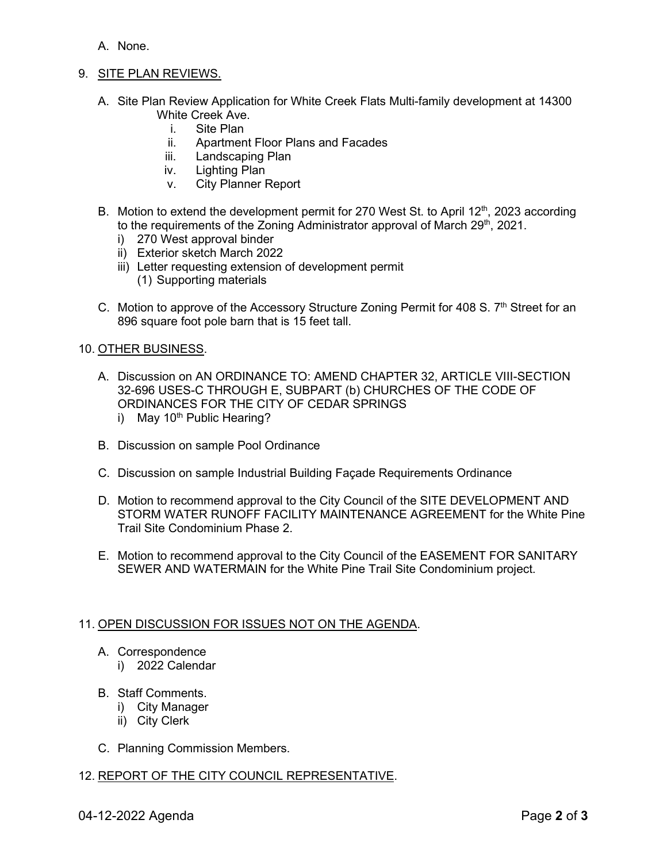- A. None.
- 9. SITE PLAN REVIEWS.
	- A. Site Plan Review Application for White Creek Flats Multi-family development at 14300 White Creek Ave.
		- i. Site Plan<br>ii. Apartmen
		- Apartment Floor Plans and Facades
		- iii. Landscaping Plan
		- iv. Lighting Plan
		- v. City Planner Report
	- B. Motion to extend the development permit for 270 West St. to April 12<sup>th</sup>, 2023 according to the requirements of the Zoning Administrator approval of March 29<sup>th</sup>, 2021.
		- i) 270 West approval binder
		- ii) Exterior sketch March 2022
		- iii) Letter requesting extension of development permit (1) Supporting materials
	- C. Motion to approve of the Accessory Structure Zoning Permit for 408 S.  $7<sup>th</sup>$  Street for an 896 square foot pole barn that is 15 feet tall.

#### 10. OTHER BUSINESS.

- A. Discussion on AN ORDINANCE TO: AMEND CHAPTER 32, ARTICLE VIII-SECTION 32-696 USES-C THROUGH E, SUBPART (b) CHURCHES OF THE CODE OF ORDINANCES FOR THE CITY OF CEDAR SPRINGS i) May  $10<sup>th</sup>$  Public Hearing?
- B. Discussion on sample Pool Ordinance
- C. Discussion on sample Industrial Building Façade Requirements Ordinance
- D. Motion to recommend approval to the City Council of the SITE DEVELOPMENT AND STORM WATER RUNOFF FACILITY MAINTENANCE AGREEMENT for the White Pine Trail Site Condominium Phase 2.
- E. Motion to recommend approval to the City Council of the EASEMENT FOR SANITARY SEWER AND WATERMAIN for the White Pine Trail Site Condominium project.

#### 11. OPEN DISCUSSION FOR ISSUES NOT ON THE AGENDA.

- A. Correspondence
	- i) 2022 Calendar
- B. Staff Comments.
	- i) City Manager
	- ii) City Clerk
- C. Planning Commission Members.

#### 12. REPORT OF THE CITY COUNCIL REPRESENTATIVE.